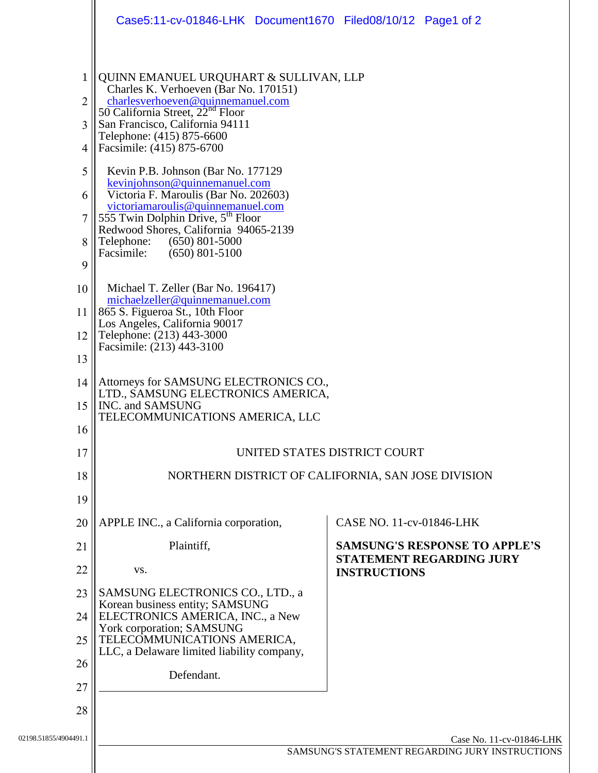|                                 | Case5:11-cv-01846-LHK Document1670 Filed08/10/12 Page1 of 2                                                                                                                                                                                                                                                                                                                                                                                                                                                                                                                    |                                                                                                |
|---------------------------------|--------------------------------------------------------------------------------------------------------------------------------------------------------------------------------------------------------------------------------------------------------------------------------------------------------------------------------------------------------------------------------------------------------------------------------------------------------------------------------------------------------------------------------------------------------------------------------|------------------------------------------------------------------------------------------------|
| 1<br>2<br>3<br>4<br>5<br>6<br>8 | QUINN EMANUEL URQUHART & SULLIVAN, LLP<br>Charles K. Verhoeven (Bar No. 170151)<br>charlesverhoeven@quinnemanuel.com<br>50 California Street, $22^{nd}$ Floor<br>San Francisco, California 94111<br>Telephone: (415) 875-6600<br>Facsimile: (415) 875-6700<br>Kevin P.B. Johnson (Bar No. 177129)<br>kevinjohnson@quinnemanuel.com<br>Victoria F. Maroulis (Bar No. 202603)<br>victoriamaroulis@quinnemanuel.com<br>555 Twin Dolphin Drive, 5 <sup>th</sup> Floor<br>Redwood Shores, California 94065-2139<br>Telephone:<br>$(650)$ 801-5000<br>$(650)$ 801-5100<br>Facsimile: |                                                                                                |
| 9<br>10<br>11<br>12             | Michael T. Zeller (Bar No. 196417)<br>michaelzeller@quinnemanuel.com<br>865 S. Figueroa St., 10th Floor<br>Los Angeles, California 90017<br>Telephone: (213) 443-3000                                                                                                                                                                                                                                                                                                                                                                                                          |                                                                                                |
| 13<br>14<br>15<br>16            | Facsimile: (213) 443-3100<br>Attorneys for SAMSUNG ELECTRONICS CO.,<br>LTD., SAMSUNG ELECTRONICS AMERICA,<br>INC. and SAMSUNG<br>TELECOMMUNICATIONS AMERICA, LLC                                                                                                                                                                                                                                                                                                                                                                                                               |                                                                                                |
| 17<br>18                        | UNITED STATES DISTRICT COURT<br>NORTHERN DISTRICT OF CALIFORNIA, SAN JOSE DIVISION                                                                                                                                                                                                                                                                                                                                                                                                                                                                                             |                                                                                                |
| 19<br>20                        | APPLE INC., a California corporation,                                                                                                                                                                                                                                                                                                                                                                                                                                                                                                                                          | CASE NO. 11-cv-01846-LHK                                                                       |
| 21<br>22                        | Plaintiff,<br>VS.                                                                                                                                                                                                                                                                                                                                                                                                                                                                                                                                                              | <b>SAMSUNG'S RESPONSE TO APPLE'S</b><br><b>STATEMENT REGARDING JURY</b><br><b>INSTRUCTIONS</b> |
| 23<br>24                        | SAMSUNG ELECTRONICS CO., LTD., a<br>Korean business entity; SAMSUNG<br>ELECTRONICS AMERICA, INC., a New                                                                                                                                                                                                                                                                                                                                                                                                                                                                        |                                                                                                |
| 25<br>26                        | York corporation; SAMSUNG<br>TELECOMMUNICATIONS AMERICA,<br>LLC, a Delaware limited liability company,<br>Defendant.                                                                                                                                                                                                                                                                                                                                                                                                                                                           |                                                                                                |
| 27<br>28                        |                                                                                                                                                                                                                                                                                                                                                                                                                                                                                                                                                                                |                                                                                                |
| 02198.51855/4904491.1           |                                                                                                                                                                                                                                                                                                                                                                                                                                                                                                                                                                                | Case No. 11-cv-01846-LHK<br>SAMSUNG'S STATEMENT REGARDING JURY INSTRUCTIONS                    |
|                                 |                                                                                                                                                                                                                                                                                                                                                                                                                                                                                                                                                                                |                                                                                                |